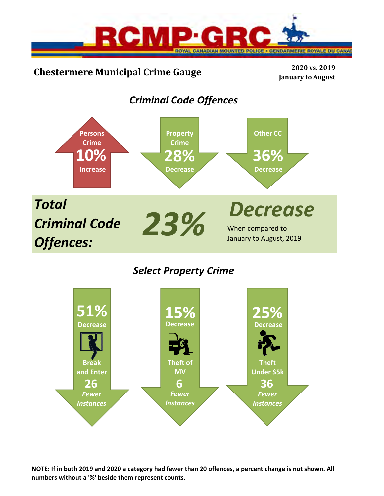

# **Chestermere Municipal Crime Gauge <sup>2020</sup> vs. <sup>2019</sup>**

**January to August**

# *Criminal Code Offences*



## *Select Property Crime*



**NOTE: If in both 2019 and 2020 a category had fewer than 20 offences, a percent change is not shown. All numbers without a '%' beside them represent counts.**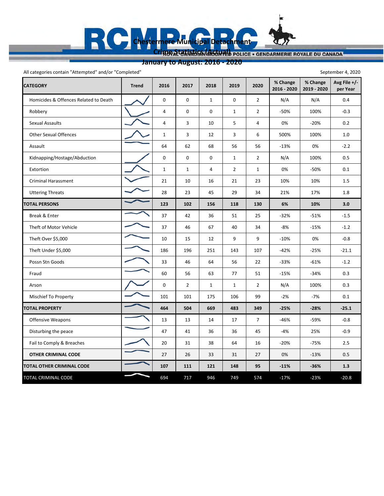Cripto Statistics (Actual) Police · GENDARMERIE ROYALE DU CANADA

**Avg File +/‐ per Year**

**January to August: 2016 ‐ 2020**

**Chestermere Municipal Detachment**

 $\mathbb{R}$ 

**CATEGORY Trend 2016 2017 2018 2019 2020 % Change 2016 ‐ 2020 % Change 2019 ‐ 2020** Homicides & Offences Related to Death  $\bigcup_{n=1}^{\infty}$  0 0 0 1 0 0 2 N/A N/A 0.4 Robbery 40012 ‐50% 100% ‐0.3 Sexual Assaults 4 3 10 5 4 0% ‐20% 0.2 Other Sexual Offences 1  $\sim$  1 3 12 3 6 500% 100% 1.0 Assault 64 62 68 56 56 ‐13% 0% ‐2.2 Kidnapping/Hostage/Abduction | 1 0 0 0 0 1 2 N/A 100% 0.5 Extortion 1 1 4 2 1 0% ‐50% 0.1 Criminal Harassment 1.5 21 21 22 23 10% 10% 1.5 Uttering Threats 28 23 23 45 29 34 21% 17% 1.8 **TOTAL PERSONS 123 102 156 118 130 6% 10% 3.0** Break & Enter 37 1 37 | 42 | 36 | 51 | 25 | 32% | 51% | -1.5 Theft of Motor Vehicle 2.2 Theft Over \$5,000 **10** 10 10 15 12 9 9 -10% <sup>10</sup> 10 -0.8 Theft Under \$5,000 186 196 196 196 251 143 107 -42% -25% -21.1 Possn Stn Goods 33 46 64 56 22 ‐33% ‐61% ‐1.2 51 – 15% – 15% – 15% – 15% – 15% – 15% – 15% – 15% – 15% – 15% – 15% – 15% – 15% – 15% – 15% – 15% – 15% – 16 Arson 0 2 1 1 2 N/A 100% 0.3 Mischief To Property **101 101 101 101 101 105 106 109** -2% -7% 0.1 All categories contain "Attempted" and/or "Completed" September 4, 2020

**TOTAL PROPERTY 464** 504 669 483 349 -25% -28% -25.1 Offensive Weapons 13 13 13 14 17 7 -46% – 59% – 0.8 Disturbing the peace 47 41 36 36 45 ‐4% 25% ‐0.9 Fail to Comply & Breaches 2.5 20 31 38 64 16 -20 -20 -75 - 75% 2.5  **OTHER CRIMINAL CODE** 27 26 33 31 27 0% ‐13% 0.5 **TOTAL OTHER CRIMINAL CODE 107 111 121 148 95 ‐11% ‐36% 1.3** TOTAL CRIMINAL CODE **120.8 694 717 946 749 574 -17%** -23% -20.8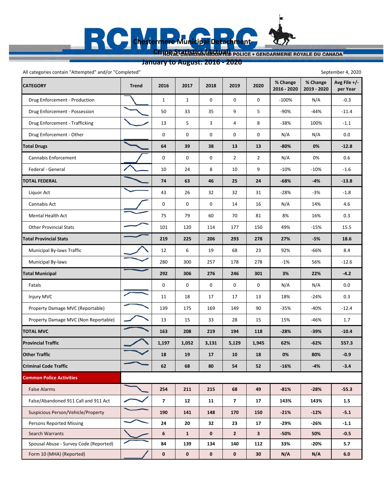Cripto Statistics (ACTUAL) POLICE . GENDARMERIE ROYALE DU CANADA

**Chestermere Municipal Detachment**

**January to August: 2016 ‐ 2020**

E1

**CATEGORY Trend 2016 2017 2018 2019 2020 % Change 2016 ‐ 2020 % Change 2019 ‐ 2020 Avg File +/‐ per Year** Drug Enforcement ‐ Production 11000 ‐100% N/A ‐0.3 Drug Enforcement - Possession 80 11.4 Drug Enforcement - Trafficking 13 | 13 | 5 | 3 | 4 | 8 | -38% | 100% | -1.1 Drug Enforcement - Other **Drug Enforcement - Other Constant A** O.O 0 0 0 0 0 0 0 0 0 N/A 0 0.0 **Total Drugs 64 39 38 13 13 ‐80% 0% ‐12.8** Cannabis Enforcement 0 0 0 2 2 N/A 0% 0.6 Federal ‐ General 10 24 8 10 9 ‐10% ‐10% ‐1.6 **TOTAL FEDERAL 74 63 46 25 24 ‐68% ‐4% ‐13.8** Liquor Act 43 26 32 32 31 ‐28% ‐3% ‐1.8 Cannabis Act 0 0 0 14 16 N/A 14% 4.6 Mental Health Act 75 79 60 70 81 8% 16% 0.3 Other Provincial Stats 15.5 **Total Provincial Stats 219 225 206 293 278 27% ‐5% 18.6** Municipal By‐laws Traffic 12 6 19 68 23 92% ‐66% 8.4 Municipal By‐laws 280 257 178 278 -1% 56% -12.6 **Total Municipal 292 306 276 246 301 3% 22% ‐4.2** Fatals 0 0 0 0 0 N/A N/A 0.0 Injury MVC 24% (2.4% ) 2.4% (2.4% ) 11 | 18 | 17 | 17 | 13 | 18% | 2.4% | 0.3 Property Damage MVC (Reportable) | 139 | 175 | 169 | 149 | 90 | -35% | -40% | -12.4 Property Damage MVC (Non Reportable)  $\sim$  13 13 35 31 28 15 15 15 46% 1.7 TOTAL MVC 163 | 208 | 219 | 194 | 118 | -28% | -39% | -10.4 Provincial Traffic **1,197 1,197 1,052 1,131 1,052 1,129 1,945 1,945 1,0**52 1,945 1,945 1,945 1,557.3 **Other Traffic 18 19 17 10 18 0% 80% ‐0.9 Criminal Code Traffic 62 68 80 54 52 -16% -4% -3.4 Common Police Activities False Alarms 211 215 68 49 -81% -28% -55.3**  False/Abandoned 911 Call and 911 Act **7 12 11 7 17 143% 143% 1.5** Suspicious Person/Vehicle/Property **190 141 148 170 150 -21% -21%** -12% -5.1 Persons Reported Missing **24 20 32 23 17 -29% -26%** -1.1 Search Warrants **62023 62023 12023 12023 12023 12033 12033 12033 12033 12033 12033 12033 12033 12033 12033 12033 12033 12033 12033 12033 12033 12033 12033 12033 12033 12033** Spousal Abuse - Survey Code (Reported) **84 84 139 134 140 112 33% 33% 1 -20%** 5.7 Form 10 (MHA) (Reported) **0 0 0 0 30 N/A N/A 6.0** All categories contain "Attempted" and/or "Completed" September 4, 2020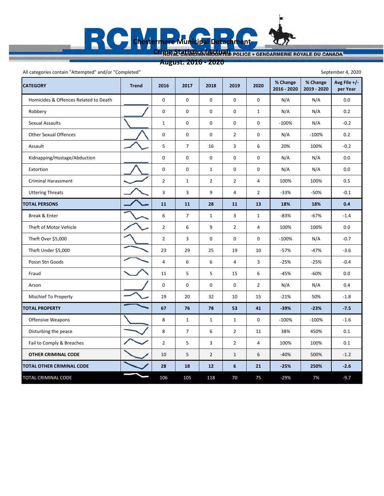## **August: 2016 ‐ 2020**

÷,

R

| All categories contain "Attempted" and/or "Completed"<br>September 4, 2020 |              |                         |                |                |                |                |                         |                         |                            |  |  |  |  |
|----------------------------------------------------------------------------|--------------|-------------------------|----------------|----------------|----------------|----------------|-------------------------|-------------------------|----------------------------|--|--|--|--|
| <b>CATEGORY</b>                                                            | <b>Trend</b> | 2016                    | 2017           | 2018           | 2019           | 2020           | % Change<br>2016 - 2020 | % Change<br>2019 - 2020 | Avg File $+/-$<br>per Year |  |  |  |  |
| Homicides & Offences Related to Death                                      |              | $\mathsf 0$             | 0              | 0              | $\mathbf 0$    | 0              | N/A                     | N/A                     | 0.0                        |  |  |  |  |
| Robbery                                                                    |              | $\mathbf 0$             | 0              | 0              | 0              | $\mathbf{1}$   | N/A                     | N/A                     | 0.2                        |  |  |  |  |
| <b>Sexual Assaults</b>                                                     |              | $\mathbf{1}$            | 0              | 0              | $\mathbf 0$    | 0              | $-100%$                 | N/A                     | $-0.2$                     |  |  |  |  |
| <b>Other Sexual Offences</b>                                               |              | 0                       | 0              | 0              | $\overline{2}$ | 0              | N/A                     | $-100%$                 | 0.2                        |  |  |  |  |
| Assault                                                                    |              | $\sf 5$                 | $\overline{7}$ | 16             | 3              | 6              | 20%                     | 100%                    | $-0.2$                     |  |  |  |  |
| Kidnapping/Hostage/Abduction                                               |              | $\pmb{0}$               | $\pmb{0}$      | 0              | 0              | 0              | N/A                     | N/A                     | 0.0                        |  |  |  |  |
| Extortion                                                                  |              | $\pmb{0}$               | 0              | $\mathbf{1}$   | $\mathbf 0$    | $\mathbf 0$    | N/A                     | N/A                     | 0.0                        |  |  |  |  |
| <b>Criminal Harassment</b>                                                 |              | $\overline{2}$          | 1              | $\overline{2}$ | $\overline{2}$ | $\overline{4}$ | 100%                    | 100%                    | 0.5                        |  |  |  |  |
| <b>Uttering Threats</b>                                                    |              | 3                       | 3              | 9              | $\overline{4}$ | $\overline{2}$ | -33%                    | $-50%$                  | $-0.1$                     |  |  |  |  |
| <b>TOTAL PERSONS</b>                                                       |              | 11                      | 11             | 28             | 11             | 13             | 18%                     | 18%                     | 0.4                        |  |  |  |  |
| Break & Enter                                                              |              | 6                       | $\overline{7}$ | $\mathbf{1}$   | 3              | $\mathbf{1}$   | $-83%$                  | $-67%$                  | $-1.4$                     |  |  |  |  |
| Theft of Motor Vehicle                                                     |              | $\overline{2}$          | 6              | 9              | $\overline{2}$ | $\overline{4}$ | 100%                    | 100%                    | 0.0                        |  |  |  |  |
| Theft Over \$5,000                                                         |              | $\overline{2}$          | 3              | 0              | $\mathbf 0$    | 0              | $-100%$                 | N/A                     | $-0.7$                     |  |  |  |  |
| Theft Under \$5,000                                                        |              | 23                      | 29             | 25             | 19             | 10             | $-57%$                  | $-47%$                  | $-3.6$                     |  |  |  |  |
| Possn Stn Goods                                                            |              | $\overline{\mathbf{4}}$ | 6              | 6              | $\overline{4}$ | 3              | $-25%$                  | $-25%$                  | $-0.4$                     |  |  |  |  |
| Fraud                                                                      |              | 11                      | 5              | 5              | 15             | 6              | $-45%$                  | $-60%$                  | 0.0                        |  |  |  |  |
| Arson                                                                      |              | 0                       | 0              | 0              | $\mathbf 0$    | $\overline{2}$ | N/A                     | N/A                     | 0.4                        |  |  |  |  |
| Mischief To Property                                                       |              | 19                      | 20             | 32             | 10             | 15             | $-21%$                  | 50%                     | $-1.8$                     |  |  |  |  |
| <b>TOTAL PROPERTY</b>                                                      |              | 67                      | 76             | 78             | 53             | 41             | $-39%$                  | $-23%$                  | $-7.5$                     |  |  |  |  |
| <b>Offensive Weapons</b>                                                   |              | 8                       | 1              | $\mathbf{1}$   | $\mathbf{1}$   | 0              | $-100%$                 | $-100%$                 | $-1.6$                     |  |  |  |  |
| Disturbing the peace                                                       |              | 8                       | $\overline{7}$ | 6              | $\overline{2}$ | 11             | 38%                     | 450%                    | 0.1                        |  |  |  |  |
| Fail to Comply & Breaches                                                  |              | $\overline{2}$          | 5              | 3              | $\overline{2}$ | 4              | 100%                    | 100%                    | 0.1                        |  |  |  |  |
| <b>OTHER CRIMINAL CODE</b>                                                 |              | 10                      | 5              | $\overline{2}$ | $\mathbf{1}$   | 6              | $-40%$                  | 500%                    | $-1.2$                     |  |  |  |  |
| TOTAL OTHER CRIMINAL CODE                                                  |              | 28                      | 18             | 12             | 6              | 21             | $-25%$                  | 250%                    | $-2.6$                     |  |  |  |  |
| TOTAL CRIMINAL CODE                                                        |              | 106                     | 105            | 118            | 70             | 75             | $-29%$                  | 7%                      | $-9.7$                     |  |  |  |  |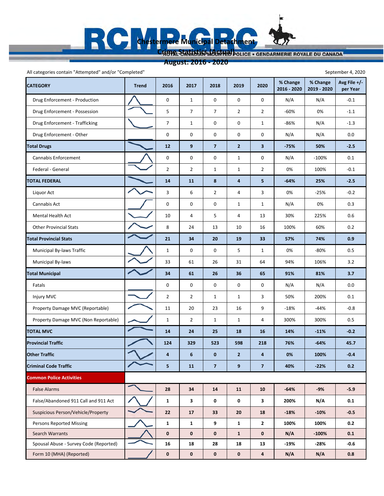## **August: 2016 ‐ 2020**

All categories contain "Attempted" and/or "Completed" September 4, 2020

| <b>CATEGORY</b>                        | <b>Trend</b> | 2016           | 2017           | 2018                    | 2019                    | 2020                    | % Change<br>2016 - 2020 | % Change<br>2019 - 2020 | Avg File $+/-$<br>per Year |
|----------------------------------------|--------------|----------------|----------------|-------------------------|-------------------------|-------------------------|-------------------------|-------------------------|----------------------------|
| Drug Enforcement - Production          |              | 0              | $\mathbf{1}$   | 0                       | $\mathsf 0$             | $\mathbf 0$             | N/A                     | N/A                     | $-0.1$                     |
| Drug Enforcement - Possession          |              | 5              | $\overline{7}$ | $\overline{7}$          | $\overline{2}$          | $\overline{2}$          | -60%                    | 0%                      | $-1.1$                     |
| Drug Enforcement - Trafficking         |              | $\overline{7}$ | $\mathbf{1}$   | 0                       | 0                       | $\mathbf{1}$            | -86%                    | N/A                     | $-1.3$                     |
| Drug Enforcement - Other               |              | 0              | 0              | 0                       | $\mathbf 0$             | 0                       | N/A                     | N/A                     | 0.0                        |
| <b>Total Drugs</b>                     |              | 12             | 9              | $\overline{7}$          | $\overline{2}$          | $\overline{\mathbf{3}}$ | -75%                    | 50%                     | $-2.5$                     |
| Cannabis Enforcement                   |              | 0              | 0              | 0                       | $\mathbf{1}$            | 0                       | N/A                     | $-100%$                 | 0.1                        |
| Federal - General                      |              | $\overline{2}$ | $\overline{2}$ | $\mathbf{1}$            | $\mathbf{1}$            | $\overline{2}$          | 0%                      | 100%                    | $-0.1$                     |
| <b>TOTAL FEDERAL</b>                   |              | 14             | 11             | 8                       | $\overline{\mathbf{a}}$ | 5                       | $-64%$                  | 25%                     | $-2.5$                     |
| Liquor Act                             |              | 3              | 6              | $\overline{2}$          | 4                       | 3                       | 0%                      | $-25%$                  | $-0.2$                     |
| Cannabis Act                           |              | 0              | 0              | 0                       | $\mathbf{1}$            | $\mathbf{1}$            | N/A                     | 0%                      | 0.3                        |
| Mental Health Act                      |              | 10             | 4              | 5                       | 4                       | 13                      | 30%                     | 225%                    | 0.6                        |
| <b>Other Provincial Stats</b>          |              | 8              | 24             | 13                      | 10                      | 16                      | 100%                    | 60%                     | 0.2                        |
| <b>Total Provincial Stats</b>          |              | 21             | 34             | 20                      | 19                      | 33                      | 57%                     | 74%                     | 0.9                        |
| <b>Municipal By-laws Traffic</b>       |              | $\mathbf{1}$   | 0              | 0                       | 5                       | $\mathbf{1}$            | 0%                      | $-80%$                  | 0.5                        |
| Municipal By-laws                      |              | 33             | 61             | 26                      | 31                      | 64                      | 94%                     | 106%                    | 3.2                        |
| <b>Total Municipal</b>                 |              | 34             | 61             | 26                      | 36                      | 65                      | 91%                     | 81%                     | 3.7                        |
| Fatals                                 |              | 0              | 0              | 0                       | 0                       | 0                       | N/A                     | N/A                     | 0.0                        |
| Injury MVC                             |              | $\overline{2}$ | $\overline{2}$ | $\mathbf{1}$            | $\mathbf{1}$            | 3                       | 50%                     | 200%                    | 0.1                        |
| Property Damage MVC (Reportable)       |              | 11             | 20             | 23                      | 16                      | 9                       | $-18%$                  | -44%                    | $-0.8$                     |
| Property Damage MVC (Non Reportable)   |              | $\mathbf{1}$   | $\overline{2}$ | $\mathbf{1}$            | $\mathbf{1}$            | 4                       | 300%                    | 300%                    | 0.5                        |
| <b>TOTAL MVC</b>                       |              | 14             | 24             | 25                      | 18                      | 16                      | 14%                     | $-11%$                  | $-0.2$                     |
| <b>Provincial Traffic</b>              |              | 124            | 329            | 523                     | 598                     | 218                     | 76%                     | $-64%$                  | 45.7                       |
| <b>Other Traffic</b>                   |              | 4              | 6              | $\bf{0}$                | $\overline{2}$          | 4                       | $0\%$                   | 100%                    | $-0.4$                     |
| <b>Criminal Code Traffic</b>           |              | 5              | 11             | $\overline{\mathbf{z}}$ | 9                       | $\overline{7}$          | 40%                     | $-22%$                  | 0.2                        |
| <b>Common Police Activities</b>        |              |                |                |                         |                         |                         |                         |                         |                            |
| <b>False Alarms</b>                    |              | 28             | 34             | 14                      | 11                      | 10                      | $-64%$                  | $-9%$                   | $-5.9$                     |
| False/Abandoned 911 Call and 911 Act   |              | $\mathbf{1}$   | 3              | 0                       | $\pmb{0}$               | 3                       | 200%                    | N/A                     | 0.1                        |
| Suspicious Person/Vehicle/Property     |              | 22             | 17             | 33                      | 20                      | 18                      | $-18%$                  | $-10%$                  | $-0.5$                     |
| <b>Persons Reported Missing</b>        |              | $\mathbf{1}$   | $\mathbf{1}$   | 9                       | $\mathbf{1}$            | $\mathbf{2}$            | 100%                    | 100%                    | 0.2                        |
| Search Warrants                        |              | $\pmb{0}$      | $\mathbf 0$    | $\mathbf{0}$            | $\mathbf{1}$            | $\pmb{0}$               | N/A                     | $-100%$                 | 0.1                        |
| Spousal Abuse - Survey Code (Reported) |              | 16             | 18             | 28                      | 18                      | 13                      | $-19%$                  | -28%                    | $-0.6$                     |
| Form 10 (MHA) (Reported)               |              | 0              | $\mathbf 0$    | $\mathbf 0$             | $\pmb{0}$               | $\overline{\mathbf{a}}$ | N/A                     | N/A                     | 0.8                        |